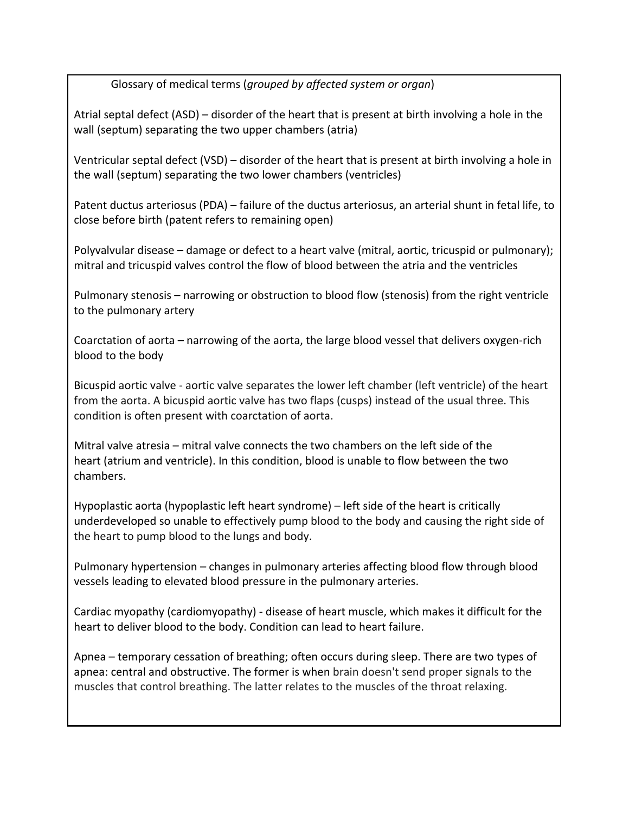Glossary of medical terms (*grouped by affected system or organ*)

Atrial septal defect  $(ASD)$  – disorder of the heart that is present at birth involving a hole in the wall (septum) separating the two upper chambers (atria)

Ventricular septal defect (VSD) – disorder of the heart that is present at birth involving a hole in the wall (septum) separating the two lower chambers (ventricles)

Patent ductus arteriosus (PDA) – failure of the ductus arteriosus, an arterial shunt in fetal life, to close before birth (patent refers to remaining open)

Polyvalvular disease – damage or defect to a heart valve (mitral, aortic, tricuspid or pulmonary); mitral and tricuspid valves control the flow of blood between the atria and the ventricles

Pulmonary stenosis – narrowing or obstruction to blood flow (stenosis) from the right ventricle to the pulmonary artery

Coarctation of aorta – narrowing of the aorta, the large blood vessel that delivers oxygen-rich blood to the body

Bicuspid aortic valve - aortic valve separates the lower left chamber (left ventricle) of the heart from the aorta. A bicuspid aortic valve has two flaps (cusps) instead of the usual three. This condition is often present with coarctation of aorta.

Mitral valve atresia – mitral valve connects the two chambers on the left side of the heart (atrium and ventricle). In this condition, blood is unable to flow between the two chambers.

Hypoplastic aorta (hypoplastic left heart syndrome) – left side of the heart is critically underdeveloped so unable to effectively pump blood to the body and causing the right side of the heart to pump blood to the lungs and body.

Pulmonary hypertension – changes in pulmonary arteries affecting blood flow through blood vessels leading to elevated blood pressure in the pulmonary arteries.

Cardiac myopathy (cardiomyopathy) - disease of heart muscle, which makes it difficult for the heart to deliver blood to the body. Condition can lead to heart failure.

Apnea – temporary cessation of breathing; often occurs during sleep. There are two types of apnea: central and obstructive. The former is when brain doesn't send proper signals to the muscles that control breathing. The latter relates to the muscles of the throat relaxing.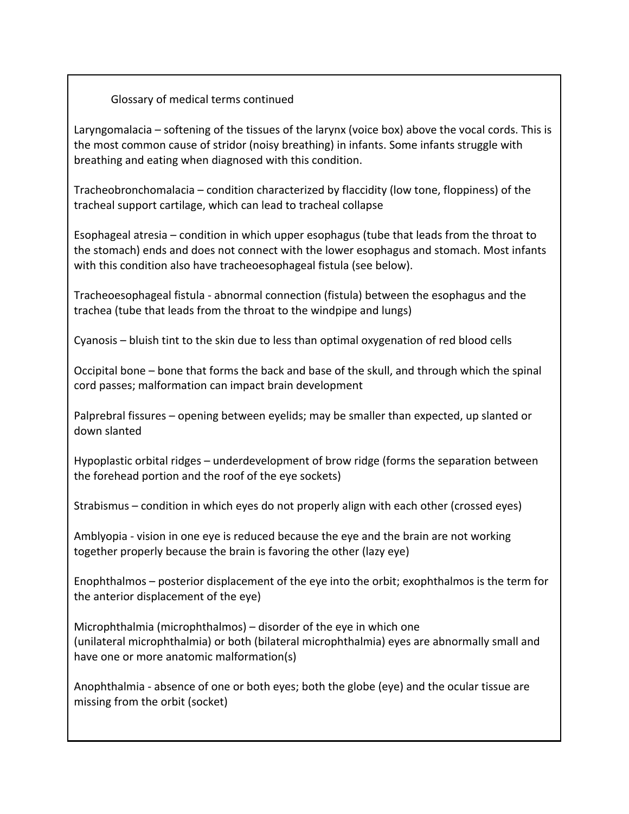Laryngomalacia  $-$  softening of the tissues of the larynx (voice box) above the vocal cords. This is the most common cause of stridor (noisy breathing) in infants. Some infants struggle with breathing and eating when diagnosed with this condition.

Tracheobronchomalacia – condition characterized by flaccidity (low tone, floppiness) of the tracheal support cartilage, which can lead to tracheal collapse

Esophageal atresia – condition in which upper esophagus (tube that leads from the throat to the stomach) ends and does not connect with the lower esophagus and stomach. Most infants with this condition also have tracheoesophageal fistula (see below).

Tracheoesophageal fistula - abnormal connection (fistula) between the esophagus and the trachea (tube that leads from the throat to the windpipe and lungs)

Cyanosis – bluish tint to the skin due to less than optimal oxygenation of red blood cells

Occipital bone – bone that forms the back and base of the skull, and through which the spinal cord passes; malformation can impact brain development

Palprebral fissures – opening between eyelids; may be smaller than expected, up slanted or down slanted

Hypoplastic orbital ridges  $-$  underdevelopment of brow ridge (forms the separation between the forehead portion and the roof of the eye sockets)

Strabismus – condition in which eyes do not properly align with each other (crossed eyes)

Amblyopia - vision in one eye is reduced because the eye and the brain are not working together properly because the brain is favoring the other (lazy eye)

Enophthalmos – posterior displacement of the eye into the orbit; exophthalmos is the term for the anterior displacement of the eye)

Microphthalmia (microphthalmos)  $-$  disorder of the eye in which one (unilateral microphthalmia) or both (bilateral microphthalmia) eyes are abnormally small and have one or more anatomic malformation(s)

Anophthalmia - absence of one or both eyes; both the globe (eye) and the ocular tissue are missing from the orbit (socket)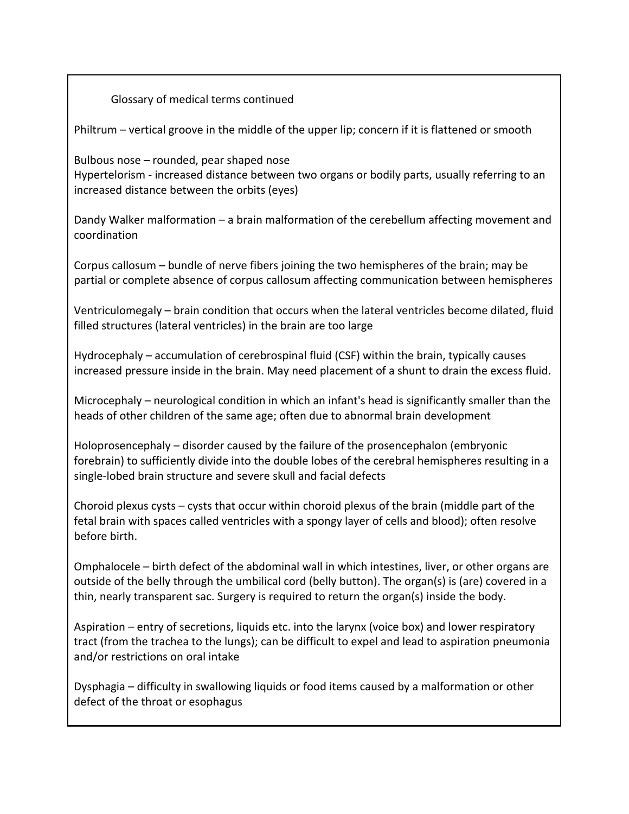Philtrum – vertical groove in the middle of the upper lip; concern if it is flattened or smooth

Bulbous  $nose$  – rounded, pear shaped nose Hypertelorism - increased distance between two organs or bodily parts, usually referring to an increased distance between the orbits (eyes)

Dandy Walker malformation – a brain malformation of the cerebellum affecting movement and coordination 

Corpus callosum – bundle of nerve fibers joining the two hemispheres of the brain; may be partial or complete absence of corpus callosum affecting communication between hemispheres

Ventriculomegaly - brain condition that occurs when the lateral ventricles become dilated, fluid filled structures (lateral ventricles) in the brain are too large

Hydrocephaly  $-$  accumulation of cerebrospinal fluid (CSF) within the brain, typically causes increased pressure inside in the brain. May need placement of a shunt to drain the excess fluid.

Microcephaly – neurological condition in which an infant's head is significantly smaller than the heads of other children of the same age; often due to abnormal brain development

Holoprosencephaly  $-$  disorder caused by the failure of the prosencephalon (embryonic forebrain) to sufficiently divide into the double lobes of the cerebral hemispheres resulting in a single-lobed brain structure and severe skull and facial defects

Choroid plexus cysts – cysts that occur within choroid plexus of the brain (middle part of the fetal brain with spaces called ventricles with a spongy layer of cells and blood); often resolve before birth.

Omphalocele – birth defect of the abdominal wall in which intestines, liver, or other organs are outside of the belly through the umbilical cord (belly button). The organ(s) is (are) covered in a thin, nearly transparent sac. Surgery is required to return the organ(s) inside the body.

Aspiration – entry of secretions, liquids etc. into the larynx (voice box) and lower respiratory tract (from the trachea to the lungs); can be difficult to expel and lead to aspiration pneumonia and/or restrictions on oral intake

Dysphagia – difficulty in swallowing liquids or food items caused by a malformation or other defect of the throat or esophagus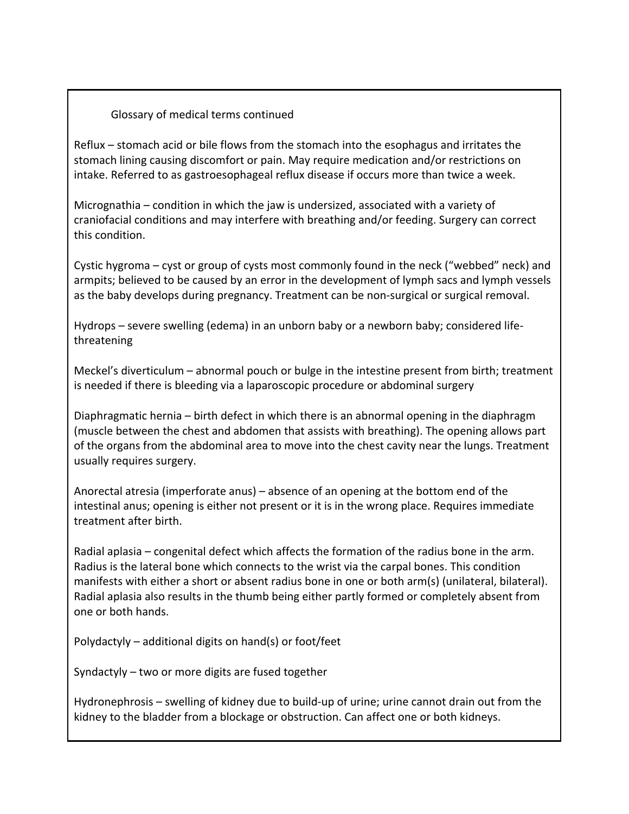Reflux – stomach acid or bile flows from the stomach into the esophagus and irritates the stomach lining causing discomfort or pain. May require medication and/or restrictions on intake. Referred to as gastroesophageal reflux disease if occurs more than twice a week.

Micrognathia – condition in which the jaw is undersized, associated with a variety of craniofacial conditions and may interfere with breathing and/or feeding. Surgery can correct this condition.

Cystic hygroma – cyst or group of cysts most commonly found in the neck ("webbed" neck) and armpits; believed to be caused by an error in the development of lymph sacs and lymph vessels as the baby develops during pregnancy. Treatment can be non-surgical or surgical removal.

Hydrops – severe swelling (edema) in an unborn baby or a newborn baby; considered lifethreatening

Meckel's diverticulum – abnormal pouch or bulge in the intestine present from birth; treatment is needed if there is bleeding via a laparoscopic procedure or abdominal surgery

Diaphragmatic hernia – birth defect in which there is an abnormal opening in the diaphragm (muscle between the chest and abdomen that assists with breathing). The opening allows part of the organs from the abdominal area to move into the chest cavity near the lungs. Treatment usually requires surgery.

Anorectal atresia (imperforate anus) – absence of an opening at the bottom end of the intestinal anus; opening is either not present or it is in the wrong place. Requires immediate treatment after birth.

Radial aplasia – congenital defect which affects the formation of the radius bone in the arm. Radius is the lateral bone which connects to the wrist via the carpal bones. This condition manifests with either a short or absent radius bone in one or both arm(s) (unilateral, bilateral). Radial aplasia also results in the thumb being either partly formed or completely absent from one or both hands.

Polydactyly – additional digits on hand(s) or foot/feet

Syndactyly  $-$  two or more digits are fused together

Hydronephrosis – swelling of kidney due to build-up of urine; urine cannot drain out from the kidney to the bladder from a blockage or obstruction. Can affect one or both kidneys.